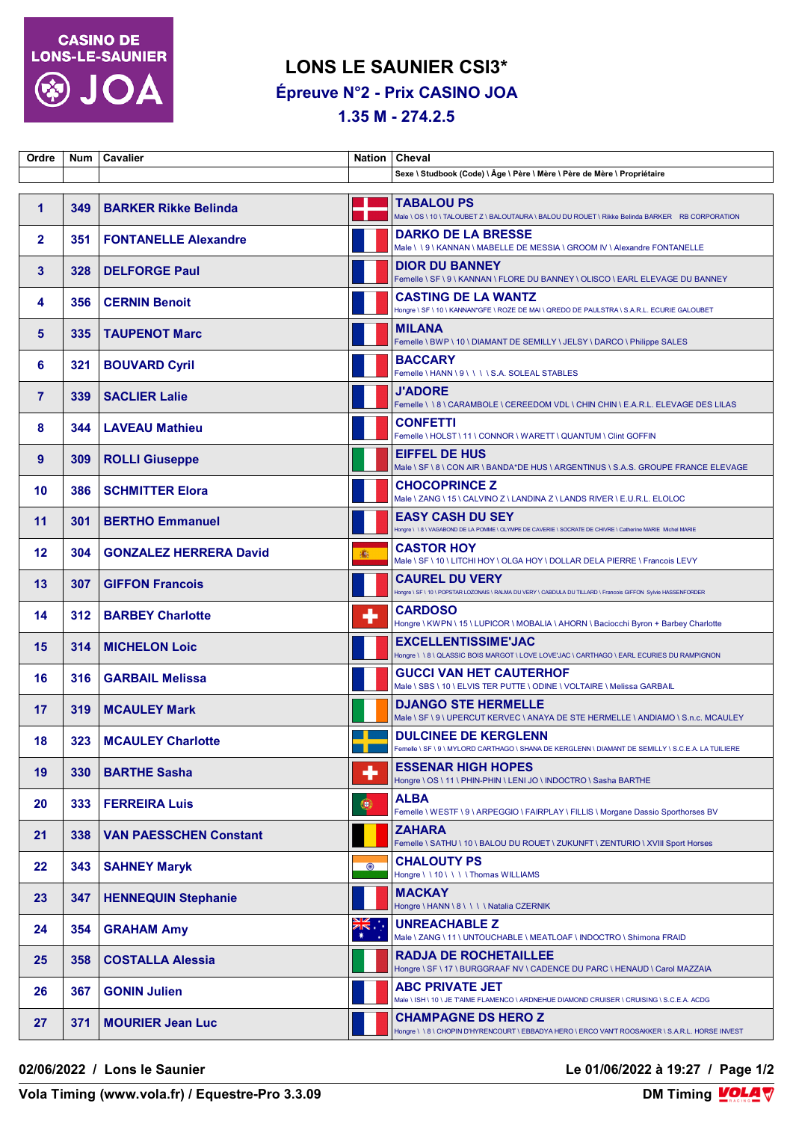

## **LONS LE SAUNIER CSI3\* Épreuve N°2 - Prix CASINO JOA**

**1.35 M - 274.2.5**

| Ordre          |     | Num   Cavalier                |                      | Nation   Cheval                                                                                                                         |
|----------------|-----|-------------------------------|----------------------|-----------------------------------------------------------------------------------------------------------------------------------------|
|                |     |                               |                      | Sexe \ Studbook (Code) \ Âge \ Père \ Mère \ Père de Mère \ Propriétaire                                                                |
| 1              | 349 | <b>BARKER Rikke Belinda</b>   |                      | <b>TABALOU PS</b><br>Male \ OS \ 10 \ TALOUBET Z \ BALOUTAURA \ BALOU DU ROUET \ Rikke Belinda BARKER RB CORPORATION                    |
| $\overline{2}$ | 351 | <b>FONTANELLE Alexandre</b>   |                      | <b>DARKO DE LA BRESSE</b><br>Male \\9\KANNAN\MABELLE DE MESSIA\GROOM IV\Alexandre FONTANELLE                                            |
| 3              | 328 | <b>DELFORGE Paul</b>          |                      | <b>DIOR DU BANNEY</b><br>Femelle \ SF \ 9 \ KANNAN \ FLORE DU BANNEY \ OLISCO \ EARL ELEVAGE DU BANNEY                                  |
| 4              | 356 | <b>CERNIN Benoit</b>          |                      | <b>CASTING DE LA WANTZ</b><br>Hongre \ SF \ 10 \ KANNAN*GFE \ ROZE DE MAI \ QREDO DE PAULSTRA \ S.A.R.L. ECURIE GALOUBET                |
| 5              | 335 | <b>TAUPENOT Marc</b>          |                      | <b>MILANA</b><br>Femelle \ BWP \ 10 \ DIAMANT DE SEMILLY \ JELSY \ DARCO \ Philippe SALES                                               |
| 6              | 321 | <b>BOUVARD Cyril</b>          |                      | <b>BACCARY</b><br>Femelle \HANN \ 9 \ \ \ \ S.A. SOLEAL STABLES                                                                         |
| $\overline{7}$ | 339 | <b>SACLIER Lalie</b>          |                      | <b>J'ADORE</b><br>Femelle \\8\CARAMBOLE\CEREEDOM VDL\CHIN CHIN\E.A.R.L. ELEVAGE DES LILAS                                               |
| 8              | 344 | <b>LAVEAU Mathieu</b>         |                      | <b>CONFETTI</b><br>Femelle \ HOLST \ 11 \ CONNOR \ WARETT \ QUANTUM \ Clint GOFFIN                                                      |
| 9              | 309 | <b>ROLLI Giuseppe</b>         |                      | <b>EIFFEL DE HUS</b><br>Male \ SF \ 8 \ CON AIR \ BANDA*DE HUS \ ARGENTINUS \ S.A.S. GROUPE FRANCE ELEVAGE                              |
| 10             | 386 | <b>SCHMITTER Elora</b>        |                      | <b>CHOCOPRINCE Z</b><br>Male \ ZANG \ 15 \ CALVINO Z \ LANDINA Z \ LANDS RIVER \ E.U.R.L. ELOLOC                                        |
| 11             | 301 | <b>BERTHO Emmanuel</b>        |                      | <b>EASY CASH DU SEY</b><br>Hongre \ \ 8 \ VAGABOND DE LA POMME \ OLYMPE DE CAVERIE \ SOCRATE DE CHIVRE \ Catherine MARIE Michel MARIE   |
| 12             | 304 | <b>GONZALEZ HERRERA David</b> | 6                    | <b>CASTOR HOY</b><br>Male \ SF \ 10 \ LITCHI HOY \ OLGA HOY \ DOLLAR DELA PIERRE \ Francois LEVY                                        |
| 13             | 307 | <b>GIFFON Francois</b>        |                      | <b>CAUREL DU VERY</b><br>Hongre \ SF \ 10 \ POPSTAR LOZONAIS \ RALMA DU VERY \ CABDULA DU TILLARD \ Francois GIFFON Sylvie HASSENFORDER |
| 14             | 312 | <b>BARBEY Charlotte</b>       | ٠                    | <b>CARDOSO</b><br>Hongre \ KWPN \ 15 \ LUPICOR \ MOBALIA \ AHORN \ Baciocchi Byron + Barbey Charlotte                                   |
| 15             | 314 | <b>MICHELON Loic</b>          |                      | <b>EXCELLENTISSIME'JAC</b><br>Hongre \ \ 8 \ QLASSIC BOIS MARGOT \ LOVE LOVE'JAC \ CARTHAGO \ EARL ECURIES DU RAMPIGNON                 |
| 16             | 316 | <b>GARBAIL Melissa</b>        |                      | <b>GUCCI VAN HET CAUTERHOF</b><br>Male \ SBS \ 10 \ ELVIS TER PUTTE \ ODINE \ VOLTAIRE \ Melissa GARBAIL                                |
| 17             | 319 | <b>MCAULEY Mark</b>           |                      | <b>DJANGO STE HERMELLE</b><br>Male \ SF \ 9 \ UPERCUT KERVEC \ ANAYA DE STE HERMELLE \ ANDIAMO \ S.n.c. MCAULEY                         |
| 18             | 323 | <b>MCAULEY Charlotte</b>      |                      | <b>DULCINEE DE KERGLENN</b><br>Femelle \ SF \ 9 \ MYLORD CARTHAGO \ SHANA DE KERGLENN \ DIAMANT DE SEMILLY \ S.C.E.A. LA TUILIERE       |
| 19             | 330 | <b>BARTHE Sasha</b>           | ٠                    | <b>ESSENAR HIGH HOPES</b><br>Hongre \ OS \ 11 \ PHIN-PHIN \ LENI JO \ INDOCTRO \ Sasha BARTHE                                           |
| 20             | 333 | <b>FERREIRA Luis</b>          | 0                    | <b>ALBA</b><br>Femelle \ WESTF \ 9 \ ARPEGGIO \ FAIRPLAY \ FILLIS \ Morgane Dassio Sporthorses BV                                       |
| 21             | 338 | <b>VAN PAESSCHEN Constant</b> |                      | <b>ZAHARA</b><br>Femelle \ SATHU \ 10 \ BALOU DU ROUET \ ZUKUNFT \ ZENTURIO \ XVIII Sport Horses                                        |
| 22             | 343 | <b>SAHNEY Maryk</b>           | $\odot$              | <b>CHALOUTY PS</b><br>Hongre \\10\\\\Thomas WILLIAMS                                                                                    |
| 23             | 347 | <b>HENNEQUIN Stephanie</b>    |                      | MACKAY<br>Hongre \ HANN \ 8 \ \ \ \ Natalia CZERNIK                                                                                     |
| 24             | 354 | <b>GRAHAM Amy</b>             | $\frac{1}{\sqrt{K}}$ | <b>UNREACHABLE Z</b><br>Male \ ZANG \ 11 \ UNTOUCHABLE \ MEATLOAF \ INDOCTRO \ Shimona FRAID                                            |
| 25             | 358 | <b>COSTALLA Alessia</b>       |                      | <b>RADJA DE ROCHETAILLEE</b><br>Hongre \ SF \ 17 \ BURGGRAAF NV \ CADENCE DU PARC \ HENAUD \ Carol MAZZAIA                              |
| 26             | 367 | <b>GONIN Julien</b>           |                      | <b>ABC PRIVATE JET</b><br>Male \ISH\10\JE TAIME FLAMENCO\ARDNEHUE DIAMOND CRUISER\CRUISING\S.C.E.A. ACDG                                |
| 27             | 371 | <b>MOURIER Jean Luc</b>       |                      | <b>CHAMPAGNE DS HERO Z</b><br>Hongre \\8\CHOPIN D'HYRENCOURT\EBBADYA HERO\ERCO VAN'T ROOSAKKER \S.A.R.L. HORSE INVEST                   |

**02/06/2022 / Lons le Saunier Le 01/06/2022 à 19:27 / Page 1/2**

**Vola Timing (www.vola.fr) / Equestre-Pro 3.3.09**